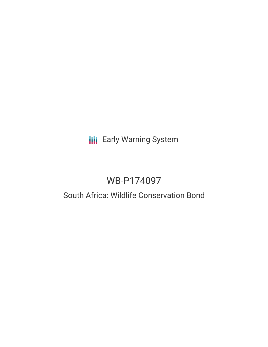# **III** Early Warning System

# WB-P174097

## South Africa: Wildlife Conservation Bond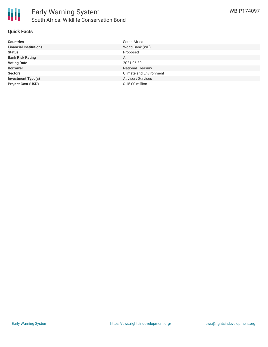

#### **Quick Facts**

| <b>Countries</b>              | South Africa                   |
|-------------------------------|--------------------------------|
| <b>Financial Institutions</b> | World Bank (WB)                |
| <b>Status</b>                 | Proposed                       |
| <b>Bank Risk Rating</b>       | A                              |
| <b>Voting Date</b>            | 2021-06-30                     |
| <b>Borrower</b>               | <b>National Treasury</b>       |
| <b>Sectors</b>                | <b>Climate and Environment</b> |
| <b>Investment Type(s)</b>     | <b>Advisory Services</b>       |
| <b>Project Cost (USD)</b>     | \$15.00 million                |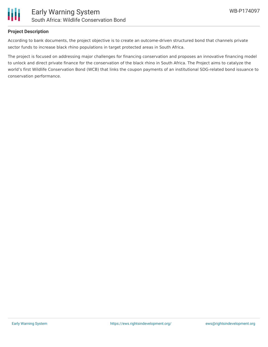

#### **Project Description**

According to bank documents, the project objective is to create an outcome-driven structured bond that channels private sector funds to increase black rhino populations in target protected areas in South Africa.

The project is focused on addressing major challenges for financing conservation and proposes an innovative financing model to unlock and direct private finance for the conservation of the black rhino in South Africa. The Project aims to catalyze the world's first Wildlife Conservation Bond (WCB) that links the coupon payments of an institutional SDG-related bond issuance to conservation performance.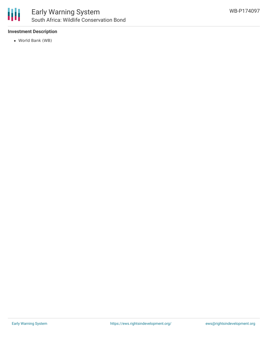

#### **Investment Description**

World Bank (WB)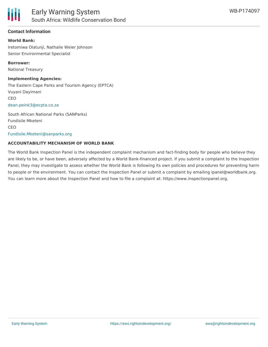#### **Contact Information**

#### **World Bank:**

Iretomiwa Olatunji, Nathalie Weier Johnson Senior Environmental Specialist

**Borrower:** National Treasury

#### **Implementing Agencies:**

The Eastern Cape Parks and Tourism Agency (EPTCA) Vuyani Dayimani CEO [dean.peink3@ecpta.co.za](mailto:dean.peink3@ecpta.co.za)

South African National Parks (SANParks) Fundisile Mketeni CEO [Fundisile.Mketeni@sanparks.org](mailto:Fundisile.Mketeni@sanparks.org)

#### **ACCOUNTABILITY MECHANISM OF WORLD BANK**

The World Bank Inspection Panel is the independent complaint mechanism and fact-finding body for people who believe they are likely to be, or have been, adversely affected by a World Bank-financed project. If you submit a complaint to the Inspection Panel, they may investigate to assess whether the World Bank is following its own policies and procedures for preventing harm to people or the environment. You can contact the Inspection Panel or submit a complaint by emailing ipanel@worldbank.org. You can learn more about the Inspection Panel and how to file a complaint at: https://www.inspectionpanel.org.